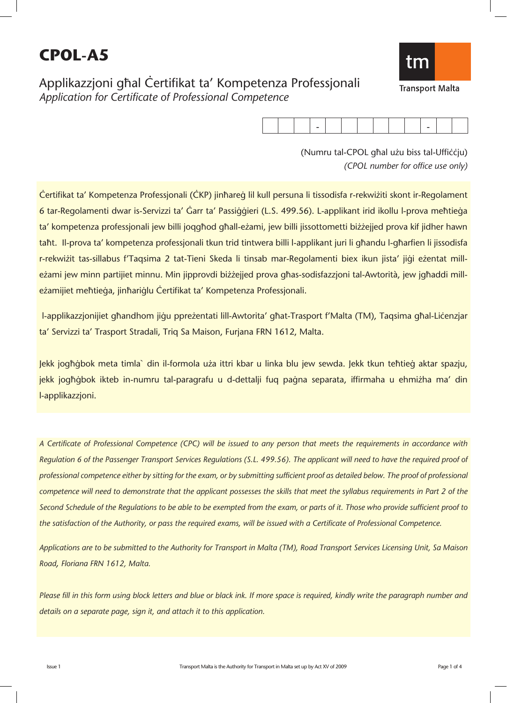# **CPOL-A5**

Applikazzjoni għal Certifikat ta' Kompetenza Professjonali *Application for Certificate of Professional Competence*

|--|

(Numru tal-CPOL għal użu biss tal-Ufficcju) *(CPOL number for office use only)*

Certifikat ta' Kompetenza Professjonali (CKP) jinħareġ lil kull persuna li tissodisfa r-rekwiżiti skont ir-Regolament 6 tar-Regolamenti dwar is-Servizzi ta' Ġarr ta' Passiġġieri (L.S. 499.56). L-applikant irid ikollu l-prova meħtieġa ta' kompetenza professjonali jew billi joqgħod għall-eżami, jew billi jissottometti biżżejjed prova kif jidher hawn taħt. Il-prova ta' kompetenza professjonali tkun trid tintwera billi l-applikant juri li għandu l-għarfien li jissodisfa r-rekwiżit tas-sillabus f'Taqsima 2 tat-Tieni Skeda li tinsab mar-Regolamenti biex ikun jista' jiġi eżentat milleżami jew minn partijiet minnu. Min jipprovdi biżżejjed prova għas-sodisfazzjoni tal-Awtorità, jew jgħaddi milleżamijiet meħtieġa, jinħariġlu Certifikat ta' Kompetenza Professjonali.

l-applikazzjonijiet għandhom jiġu ppreżentati lill-Awtorita' għat-Trasport f'Malta (TM), Taqsima għal-Liċenzjar ta' Servizzi ta' Trasport Stradali, Triq Sa Maison, Furjana FRN 1612, Malta.

Jekk jogħġbok meta timla` din il-formola uża ittri kbar u linka blu jew sewda. Jekk tkun teħtieġ aktar spazju, jekk jogħġbok ikteb in-numru tal-paragrafu u d-dettalji fuq paġna separata, iffirmaha u ehmiżha ma' din l-applikazzjoni.

*A Certificate of Professional Competence (CPC) will be issued to any person that meets the requirements in accordance with Regulation 6 of the Passenger Transport Services Regulations (S.L. 499.56). The applicant will need to have the required proof of professional competence either by sitting for the exam, or by submitting sufficient proof as detailed below. The proof of professional competence will need to demonstrate that the applicant possesses the skills that meet the syllabus requirements in Part 2 of the Second Schedule of the Regulations to be able to be exempted from the exam, or parts of it. Those who provide sufficient proof to the satisfaction of the Authority, or pass the required exams, will be issued with a Certificate of Professional Competence.* 

*Applications are to be submitted to the Authority for Transport in Malta (TM), Road Transport Services Licensing Unit, Sa Maison Road, Floriana FRN 1612, Malta.* 

Please fill in this form using block letters and blue or black ink. If more space is required, kindly write the paragraph number and *details on a separate page, sign it, and attach it to this application.*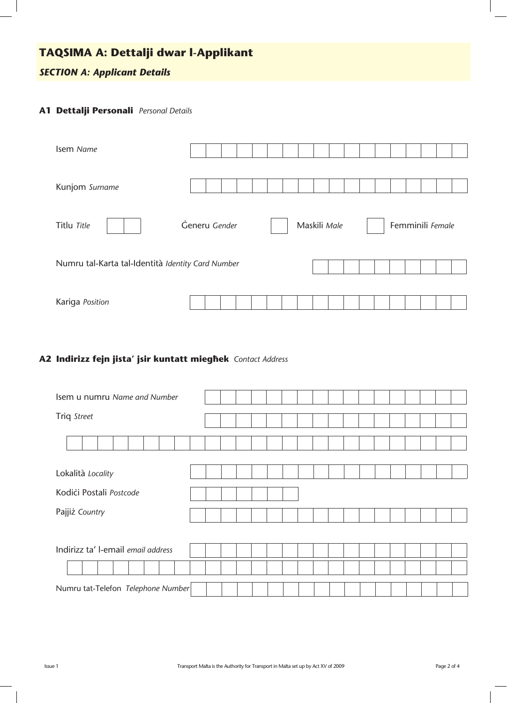# **TAQSIMA A: Dettalji dwar l-Applikant**

### *SECTION A: Applicant Details*

#### **A1 Dettalji Personali** *Personal Details*

| Isem Name                                         |               |  |              |                  |
|---------------------------------------------------|---------------|--|--------------|------------------|
| Kunjom Surname                                    |               |  |              |                  |
| Titlu Title                                       | Generu Gender |  | Maskili Male | Femminili Female |
| Numru tal-Karta tal-Identità Identity Card Number |               |  |              |                  |
| Kariga Position                                   |               |  |              |                  |

#### **A2 Indirizz fejn jista' jsir kuntatt mieg˙ek** *Contact Address*

| Isem u numru Name and Number       |  |  |  |  |  |  |  |  |  |  |  |  |  |  |  |
|------------------------------------|--|--|--|--|--|--|--|--|--|--|--|--|--|--|--|
| Triq Street                        |  |  |  |  |  |  |  |  |  |  |  |  |  |  |  |
|                                    |  |  |  |  |  |  |  |  |  |  |  |  |  |  |  |
| Lokalità Locality                  |  |  |  |  |  |  |  |  |  |  |  |  |  |  |  |
| Kodići Postali Postcode            |  |  |  |  |  |  |  |  |  |  |  |  |  |  |  |
| Pajjiż Country                     |  |  |  |  |  |  |  |  |  |  |  |  |  |  |  |
|                                    |  |  |  |  |  |  |  |  |  |  |  |  |  |  |  |
| Indirizz ta' l-email email address |  |  |  |  |  |  |  |  |  |  |  |  |  |  |  |
|                                    |  |  |  |  |  |  |  |  |  |  |  |  |  |  |  |
| Numru tat-Telefon Telephone Number |  |  |  |  |  |  |  |  |  |  |  |  |  |  |  |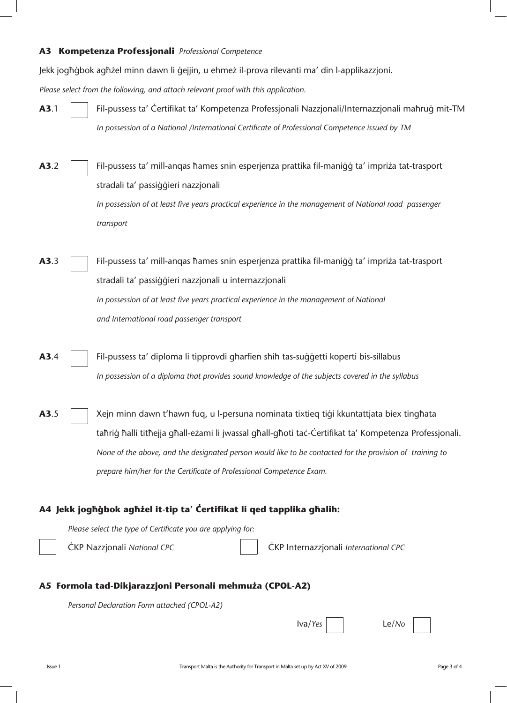#### **A3 Kompetenza Professjonali** *Professional Competence*

Jekk jogħġbok agħżel minn dawn li ġejjin, u ehmeż il-prova rilevanti ma' din l-applikazzjoni.

*Please select from the following, and attach relevant proof with this application.*

- **A3**.1 Fil-pussess ta' Certifikat ta' Kompetenza Professjonali Nazzjonali/Internazzjonali maħruġ mit-TM *In possession of a National /International Certificate of Professional Competence issued by TM*
- **A3.**2 Fil-pussess ta' mill-angas hames snin esperjenza prattika fil-maniqq ta' impriza tat-trasport stradali ta' passiqqieri nazzjonali *In possession of at least five years practical experience in the management of National road passenger transport*
- **A3.**3 Fil-pussess ta' mill-anqas hames snin esperjenza prattika fil-maniġġ ta' impriża tat-trasport stradali ta' passiqqieri nazzjonali u internazzjonali *In possession of at least five years practical experience in the management of National and International road passenger transport*
- **A3**.4 Fil-pussess ta' diploma li tipprovdi gharfien shih tas-suggetti koperti bis-sillabus *In possession of a diploma that provides sound knowledge of the subjects covered in the syllabus*
- **A3.**5  $\vert$  Xejn minn dawn t'hawn fuq, u l-persuna nominata tixtieq tiqi kkuntattiata biex tinghata taħriġ ħalli titħejja għall-eżami li jwassal għall-għoti taċ-Ċertifikat ta' Kompetenza Professjonali.  *None of the above, and the designated person would like to be contacted for the provision of training to prepare him/her for the Certificate of Professional Competence Exam.*

#### A4 Jekk jogħġbok agħżel it-tip ta' Čertifikat li qed tapplika għalih:

*Please select the type of Certificate you are applying for:*

ÇKP Nazzjonali *National CPC* ÇKP Internazzjonali *International CPC*

#### A5 **Formola tad-Dikjarazzjoni Personali mehmuża (CPOL-A2)**

*Personal Declaration Form attached (CPOL-A2)*

| va/Yes | $Le/$ No |
|--------|----------|
|        |          |